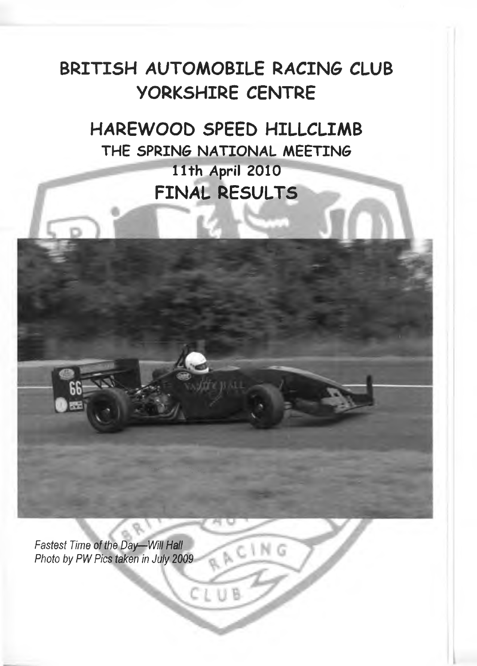## **BRITISH AUTOMOBILE RACING CLUB YORKSHIRE CENTRE**

**HAREWOOD SPEED HILLCLIMB THE SPRING NATIONAL MEETING nth April 2010 FINAL RESULTS**

RACING

*Fastest Time of the Day— Will Hall* Photo by PW Pics taken in July 2009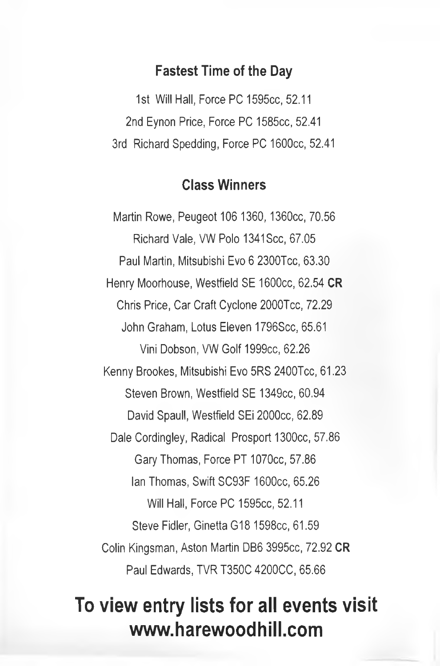#### **Fastest Time of the Day**

1st Will Hall, Force PC 1595cc, 52.11 2nd Eynon Price, Force PC 1585cc, 52.41 3rd Richard Spedding, Force PC 1600cc, 52.41

#### **Class Winners**

Martin Rowe, Peugeot 106 1360, 1360cc, 70.56 Richard Vale, VW Polo 1341 Scc, 67.05 Paul Martin, Mitsubishi Evo 6 2300Tcc, 63.30 Henry Moorhouse, Westfield SE 1600cc, 62.54 **OR** Chris Price, Car Craft Cyclone 2000Tcc, 72.29 John Graham, Lotus Eleven 1796Scc, 65.61 Vini Dobson, VW Golf 1999cc, 62.26 Kenny Brookes, Mitsubishi Evo 5RS 2400Tcc, 61.23 Steven Brown, Westfield SE 1349cc, 60.94 David Spaull, Westfield SEi 2000cc, 62.89 Dale Cordingley, Radical Prosport 1300cc, 57.86 Gary Thomas, Force PT 1070cc, 57.86 Ian Thomas, Swift SC93F 1600cc, 65.26 Will Hall, Force PC 1595cc, 52.11 Steve Fidler, Ginetta G18 1598cc, 61.59 Colin Kingsman, Aston Martin DB6 3995cc, 72.92 **OR** Paul Edwards, TVR T350C 4200CC, 65.66

# **To view entry lists for all events visit [www.harewoodhill.com](http://www.harewoodhill.com)**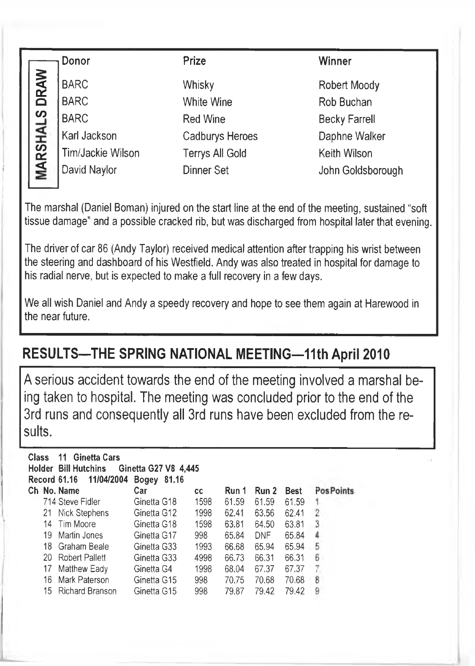|                 | Donor                      | Prize                  | Winner                     |
|-----------------|----------------------------|------------------------|----------------------------|
| <b>DRAW</b>     | <b>BARC</b><br><b>BARC</b> | Whisky<br>White Wine   | Robert Moody<br>Rob Buchan |
|                 | <b>BARC</b>                | <b>Red Wine</b>        | <b>Becky Farrell</b>       |
|                 | Karl Jackson               | <b>Cadburys Heroes</b> | Daphne Walker              |
|                 | Tim/Jackie Wilson          | <b>Terrys All Gold</b> | Keith Wilson               |
| <b>MARSHALS</b> | David Naylor               | <b>Dinner Set</b>      | John Goldsborough          |
|                 |                            |                        |                            |

The marshal (Daniel Boman) injured on the start line at the end of the meeting, sustained "soft tissue damage" and a possible cracked rib, but was discharged from hospital later that evening.

The driver of car 86 (Andy Taylor) received medical attention after trapping his wrist between the steering and dashboard of his Westfield. Andy was also treated in hospital for damage to his radial nerve, but is expected to make a full recovery in a few days.

We all wish Daniel and Andy a speedy recovery and hope to see them again at Harewood in the near future.

## **RESULTS-THE SPRING NATIONAL MEETING-11th April 2010**

A serious accident towards the end of the meeting involved a marshal being taken to hospital. The meeting was concluded prior to the end of the 3rd runs and consequently all 3rd runs have been excluded from the results.

| Class |     | 11 Ginetta Cars<br>Holder Bill Hutchins | Ginetta G27 V8 4.445<br>Bogey 81.16 |      |       |            |             |                  |
|-------|-----|-----------------------------------------|-------------------------------------|------|-------|------------|-------------|------------------|
|       |     | Ch No. Name                             | Car                                 | cс   | Run 1 | Run 2      | <b>Best</b> | <b>PosPoints</b> |
|       |     | 714 Steve Fidler                        | Ginetta G18                         | 1598 | 61.59 | 61.59      | 61.59       | 1                |
|       |     | 21 Nick Stephens                        | Ginetta G12                         | 1998 | 62.41 | 63.56      | 62.41       | 2                |
|       |     | 14 Tim Moore                            | Ginetta G18                         | 1598 | 63.81 | 64.50      | 63.81       | 3                |
|       | 19  | Martin Jones                            | Ginetta G17                         | 998  | 65.84 | <b>DNF</b> | 65.84       | 4                |
|       |     | 18 Graham Beale                         | Ginetta G33                         | 1993 | 66.68 | 65.94      | 65.94       | 5                |
|       |     | 20 Robert Pallett                       | Ginetta G33                         | 4998 | 66.73 | 66.31      | 66.31       | 6                |
|       | 17  | Matthew Eady                            | Ginetta G4                          | 1998 | 68.04 | 67.37      | 67.37       | 7                |
|       | 16. | Mark Paterson                           | Ginetta G15                         | 998  | 70.75 | 70.68      | 70.68       | 8                |
|       | 15  | <b>Richard Branson</b>                  | Ginetta G15                         | 998  | 79.87 | 79.42      | 79.42       | 9                |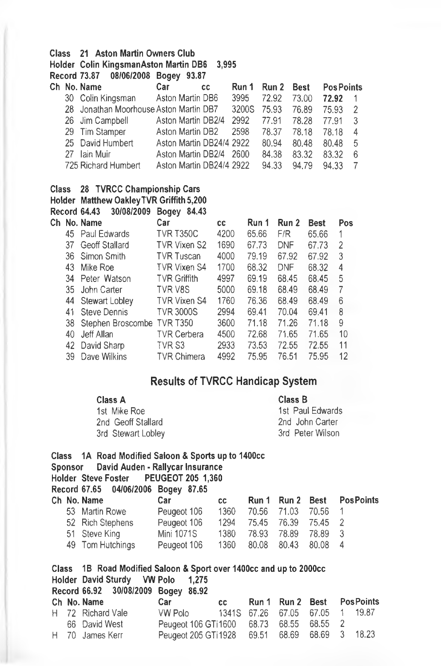#### **Class 21 Aston Martin Owners Club**

**Holder Colin KingsmanAston Martin DB6 3,995**

**Record 73.87 08/06/2008 Bogey 93.87**

|    | Ch No. Name                            | Car                      | <b>CC</b> | Run 1  | Run 2 | <b>Best</b> | <b>Pos Points</b> |   |
|----|----------------------------------------|--------------------------|-----------|--------|-------|-------------|-------------------|---|
|    | 30 Colin Kingsman                      | Aston Martin DB6         |           | 3995   | 72.92 | 73.00       | 72.92             |   |
|    | 28 Jonathan Moorhouse Aston Martin DB7 |                          |           | 3200S  | 75.93 | 76.89       | 75.93             |   |
|    | 26 Jim Campbell                        | Aston Martin DB2/4       |           | 2992   | 77.91 | 78.28       | 77.91             |   |
|    | 29 Tim Stamper                         | Aston Martin DB2         |           | 2598   | 78.37 | 78.18       | 78.18             | 4 |
|    | 25 David Humbert                       | Aston Martin DB24/4 2922 |           |        | 80.94 | 80.48       | 80.48             | 5 |
| 27 | lain Muir                              | Aston Martin DB2/4       |           | - 2600 | 84.38 | 83.32       | 83.32             | 6 |
|    | 725 Richard Humbert                    | Aston Martin DB24/4 2922 |           |        | 94.33 | 94.79       | 94.33             |   |

**Class 28 TVRCC Championship Cars**

**Holder Matthew OakleyTVR Griffith 5,200**

|     | Record 64.43<br>30/08/2009 | 84.43<br><b>Bogey</b> |      |       |            |             |                |
|-----|----------------------------|-----------------------|------|-------|------------|-------------|----------------|
|     | Ch No. Name                | Car                   | сc   | Run 1 | Run 2      | <b>Best</b> | Pos            |
|     | 45 Paul Edwards            | <b>TVR T350C</b>      | 4200 | 65.66 | F/R        | 65.66       | 1              |
|     | 37 Geoff Stallard          | TVR Vixen S2          | 1690 | 67.73 | <b>DNF</b> | 67.73       | $\overline{2}$ |
|     | 36 Simon Smith             | <b>TVR Tuscan</b>     | 4000 | 79.19 | 67.92      | 67.92       | 3              |
| 43  | Mike Roe                   | TVR Vixen S4          | 1700 | 68.32 | DNF        | 68.32       | 4              |
|     | 34 Peter Watson            | <b>TVR Griffith</b>   | 4997 | 69.19 | 68.45      | 68.45       | 5              |
| 35. | John Carter                | TVR V8S               | 5000 | 69.18 | 68.49      | 68.49       | 7              |
|     | 44 Stewart Lobley          | <b>TVR Vixen S4</b>   | 1760 | 76.36 | 68.49      | 68.49       | 6              |
| 41  | <b>Steve Dennis</b>        | <b>TVR 3000S</b>      | 2994 | 69.41 | 70.04      | 69.41       | 8              |
| 38  | Stephen Broscombe TVR T350 |                       | 3600 | 71.18 | 71.26      | 71.18       | 9              |
| 40  | Jeff Allan                 | <b>TVR Cerbera</b>    | 4500 | 72.68 | 71.65      | 71.65       | 10             |
|     | 42 David Sharp             | TVR S3                | 2933 | 73.53 | 72.55      | 72.55       | 11             |
| 39  | Dave Wilkins               | <b>TVR Chimera</b>    | 4992 | 75.95 | 76.51      | 75.95       | 12             |
|     |                            |                       |      |       |            |             |                |

#### **Results of TVRCC Handicap System**

| Class A            | Class B          |
|--------------------|------------------|
| 1st Mike Roe       | 1st Paul Edwards |
| 2nd Geoff Stallard | 2nd John Carter  |
| 3rd Stewart Lobley | 3rd Peter Wilson |

## **Class 1A Road Modified Saloon & Sports up to 1400cc**

#### **David Auden - Rallycar Insurance**

- **Holder Steve Foster PEUGEOT 205 1,360**
- **Record 67.65 04/06/2006 Bogey 87.65**

|  | Car .                                                                                  | cc   |      |                                           |                                                                                       |
|--|----------------------------------------------------------------------------------------|------|------|-------------------------------------------|---------------------------------------------------------------------------------------|
|  | Peugeot 106                                                                            | 1360 |      |                                           |                                                                                       |
|  | Peugeot 106                                                                            |      |      |                                           |                                                                                       |
|  | Mini 1071S                                                                             | 1380 |      |                                           |                                                                                       |
|  | Peugeot 106                                                                            |      |      |                                           |                                                                                       |
|  | Ch No. Name<br>53 Martin Rowe<br>52 Rich Stephens<br>51 Steve King<br>49 Tom Hutchings |      | 1360 | 70.56 71.03<br>78.93 78.89<br>80.08 80.43 | Run 1 Run 2 Best PosPoints<br>70.56 1<br>1294 75.45 76.39 75.45 2<br>78.89 3<br>80.08 |

|  | Class 1B Road Modified Saloon & Sport over 1400cc and up to 2000cc |                                                |     |  |                           |
|--|--------------------------------------------------------------------|------------------------------------------------|-----|--|---------------------------|
|  | Holder David Sturdy VW Polo 1,275                                  |                                                |     |  |                           |
|  | Record 66.92 30/08/2009 Bogey 86.92                                |                                                |     |  |                           |
|  | Ch No. Name                                                        | Car                                            | cc. |  | Run 1 Run 2 Best PosPoint |
|  | H 72 Richard Vale                                                  | VW Polo 1341S 67.26 67.05 67.05 1              |     |  | 19.87                     |
|  | 66 David West                                                      | Peugeot 106 GTi 1600 68.73 68.55 68.55 2       |     |  |                           |
|  | H 70 James Kerr                                                    | Peugeot 205 GTi 1928 69.51 68.69 68.69 3 18.23 |     |  |                           |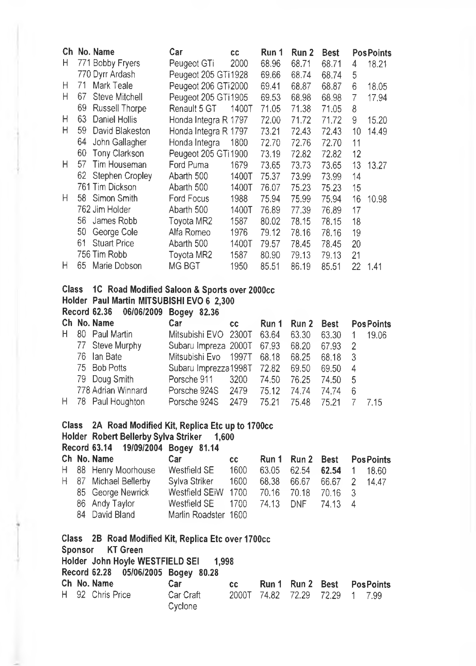|              | Ch No. Name                                                                               | Car                    | CC                 | Run 1 | Run 2 | <b>Best</b>    |                     | <b>PosPoints</b>  |
|--------------|-------------------------------------------------------------------------------------------|------------------------|--------------------|-------|-------|----------------|---------------------|-------------------|
| н            | 771 Bobby Fryers                                                                          | Peugeot GTi            | 2000               | 68.96 | 68.71 | 68.71          | 4                   | 18.21             |
|              | 770 Dyrr Ardash                                                                           | Peugeot 205 GTi1928    |                    | 69.66 | 68.74 | 68.74          | 5                   |                   |
| Н            | 71<br>Mark Teale                                                                          | Peugeot 206 GTi2000    |                    | 69.41 | 68.87 | 68.87          | 6                   | 18.05             |
| Н            | 67<br>Steve Mitchell                                                                      | Peugeot 205 GTi1905    |                    | 69.53 | 68.98 | 68.98          | 7                   | 17.94             |
|              | 69<br><b>Russell Thorpe</b>                                                               | Renault 5 GT           | 1400T              | 71.05 | 71.38 | 71.05          | 8                   |                   |
| Н            | 63<br><b>Daniel Hollis</b>                                                                | Honda Integra R 1797   |                    | 72.00 | 71.72 | 71.72          | 9                   | 15.20             |
| Н            | 59<br>David Blakeston                                                                     | Honda Integra R 1797   |                    | 73.21 | 72.43 | 72.43          | 10                  | 14.49             |
|              | 64<br>John Gallagher                                                                      | Honda Integra          | 1800               | 72.70 | 72.76 | 72.70          | 11                  |                   |
|              | 60<br>Tony Clarkson                                                                       | Peugeot 205 GTi 1900   |                    | 73.19 | 72.82 | 72.82          | 12                  |                   |
| н            | 57<br>Tim Houseman                                                                        | Ford Puma              | 1679               | 73.65 | 73.73 | 73.65          | 13                  | 13.27             |
|              | 62<br>Stephen Cropley                                                                     | Abarth 500             | 1400T              | 75.37 | 73.99 | 73.99          | 14                  |                   |
|              | 761 Tim Dickson                                                                           | Abarth 500             | 1400T              | 76.07 | 75.23 | 75.23          | 15                  |                   |
| Н            | 58<br>Simon Smith                                                                         | Ford Focus             | 1988               | 75.94 | 75.99 | 75.94          | 16                  | 10.98             |
|              | 762 Jim Holder                                                                            | Abarth 500             | 1400T              | 76.89 | 77.39 | 76.89          | 17                  |                   |
|              | 56<br>James Robb                                                                          | Toyota MR2             | 1587               | 80.02 | 78.15 | 78.15          | 18                  |                   |
|              | 50<br>George Cole                                                                         | Alfa Romeo             | 1976               | 79.12 | 78.16 | 78.16          | 19                  |                   |
|              | 61<br><b>Stuart Price</b>                                                                 | Abarth 500             | 1400T              | 79.57 | 78.45 | 78.45          | 20                  |                   |
|              | 756 Tim Robb                                                                              | Toyota MR2             | 1587               | 80.90 | 79.13 | 79.13          | 21                  |                   |
| н            | 65<br>Marie Dobson                                                                        | MG BGT                 | 1950               | 85.51 | 86.19 | 85.51          | 22                  | 1.41              |
|              |                                                                                           |                        |                    |       |       |                |                     |                   |
| <b>Class</b> | 1C Road Modified Saloon & Sports over 2000cc<br>Holder Paul Martin MITSUBISHI EVO 6 2,300 |                        |                    |       |       |                |                     |                   |
|              | <b>Record 62.36</b><br>06/06/2009                                                         |                        |                    |       |       |                |                     |                   |
|              | Ch No. Name                                                                               | Bogey 82.36<br>Car     |                    | Run 1 | Run 2 | <b>Best</b>    |                     | <b>PosPoints</b>  |
| н            | 80<br>Paul Martin                                                                         | Mitsubishi EVO         | <b>CC</b><br>2300T | 63.64 | 63.30 | 63.30          |                     |                   |
|              | 77<br>Steve Murphy                                                                        | Subaru Impreza 2000T   |                    | 67.93 | 68.20 |                | 1<br>$\overline{c}$ | 19.06             |
|              | 76<br>lan Bate                                                                            | Mitsubishi Evo         | 1997T              | 68.18 | 68.25 | 67.93<br>68.18 | 3                   |                   |
|              | 75<br><b>Bob Potts</b>                                                                    | Subaru Imprezza1998T   |                    | 72.82 | 69.50 | 69.50          | 4                   |                   |
|              | 79                                                                                        |                        | 3200               |       | 76.25 |                |                     |                   |
|              | Doug Smith<br>778 Adrian Winnard                                                          | Porsche 911            | 2479               | 74.50 |       | 74.50          | 5                   |                   |
|              |                                                                                           | Porsche 924S           |                    | 75.12 | 74.74 | 74.74          | 6                   |                   |
| Н            | 78<br>Paul Houghton                                                                       | Porsche 924S           | 2479               | 75.21 | 75.48 | 75.21          | $\overline{7}$      | 7.15              |
| <b>Class</b> | 2A Road Modified Kit, Replica Etc up to 1700cc                                            |                        |                    |       |       |                |                     |                   |
|              | Holder Robert Bellerby Sylva Striker                                                      | 1,600                  |                    |       |       |                |                     |                   |
|              | <b>Record 63.14</b>                                                                       | 19/09/2004 Bogey 81.14 |                    |       |       |                |                     |                   |
|              | Ch No. Name                                                                               | Car                    | cс                 | Run 1 | Run 2 | <b>Best</b>    |                     | <b>Pos Points</b> |

|  | H 88 Henry Moorhouse  | Westfield SE                                 | 1600 63.05 62.54 62.54 1 18.60 |  |  |
|--|-----------------------|----------------------------------------------|--------------------------------|--|--|
|  | H 87 Michael Bellerby | Sylva Striker 1600 68.38 66.67 66.67 2 14.47 |                                |  |  |
|  | 85 George Newrick     | Westfield SEiW 1700 70.16 70.18 70.16 3      |                                |  |  |
|  | 86 Andy Taylor        |                                              |                                |  |  |
|  | 84 David Bland        | Marlin Roadster 1600                         |                                |  |  |

|  | Class 2B Road Modified Kit, Replica Etc over 1700cc |                      |     |                                |                            |  |  |
|--|-----------------------------------------------------|----------------------|-----|--------------------------------|----------------------------|--|--|
|  | Sponsor KT Green                                    |                      |     |                                |                            |  |  |
|  | Holder John Hoyle WESTFIELD SEI 1,998               |                      |     |                                |                            |  |  |
|  | Record 62.28 05/06/2005 Bogey 80.28                 |                      |     |                                |                            |  |  |
|  | Ch No. Name                                         | Car                  | CC. |                                | Run 1 Run 2 Best PosPoints |  |  |
|  | H 92 Chris Price                                    | Car Craft<br>Cyclone |     | 2000T 74.82 72.29 72.29 1 7.99 |                            |  |  |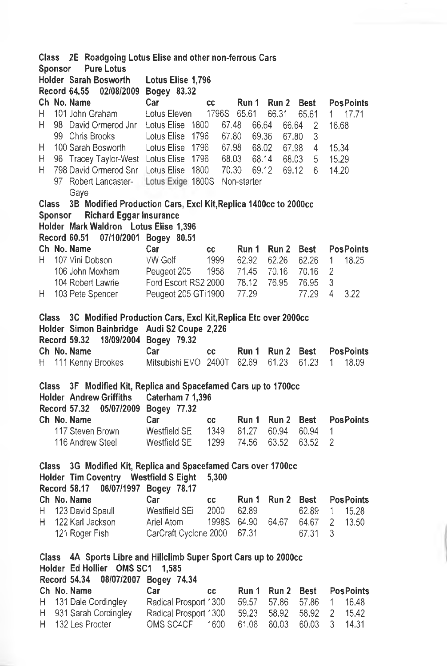|              | 2E Roadgoing Lotus Elise and other non-ferrous Cars<br>Class                                      |                                                                 |                               |             |                |       |                |                         |
|--------------|---------------------------------------------------------------------------------------------------|-----------------------------------------------------------------|-------------------------------|-------------|----------------|-------|----------------|-------------------------|
|              | Sponsor                                                                                           | <b>Pure Lotus</b>                                               |                               |             |                |       |                |                         |
|              |                                                                                                   | Holder Sarah Bosworth                                           | Lotus Elise 1,796             |             |                |       |                |                         |
|              | <b>Record 64.55</b>                                                                               | 02/08/2009                                                      | Bogey 83.32                   |             |                |       |                |                         |
|              | Ch No. Name                                                                                       |                                                                 | Car                           | cc          | Run 1          | Run 2 | Best           | <b>PosPoints</b>        |
| H            |                                                                                                   | 101 John Graham                                                 | Lotus Eleven                  | 1796S       | 65.61          | 66.31 | 65.61          | 17.71                   |
|              |                                                                                                   |                                                                 |                               |             |                |       |                | 1.                      |
| Н            |                                                                                                   | 98 David Ormerod Jnr                                            | Lotus Elise 1800              | 67.48       | 66.64          | 66.64 | $\overline{2}$ | 16.68                   |
|              |                                                                                                   | 99 Chris Brooks                                                 | Lotus Elise<br>1796           | 67.80       | 69.36          | 67.80 | 3              |                         |
| н            |                                                                                                   | 100 Sarah Bosworth                                              | Lotus Elise 1796              | 67.98       | 68.02          | 67.98 | 4              | 15,34                   |
| Η            |                                                                                                   | 96 Tracey Taylor-West Lotus Elise 1796                          |                               |             | 68.03<br>68.14 | 68.03 | 5              | 15.29                   |
| н            |                                                                                                   | 798 David Ormerod Snr Lotus Elise 1800 70.30                    |                               |             | 69.12          | 69.12 | 6              | 14.20                   |
|              | 97                                                                                                | Robert Lancaster-                                               | Lotus Exige 1800S Non-starter |             |                |       |                |                         |
|              |                                                                                                   | Gaye                                                            |                               |             |                |       |                |                         |
| <b>Class</b> |                                                                                                   | 3B Modified Production Cars, Excl Kit, Replica 1400cc to 2000cc |                               |             |                |       |                |                         |
|              | Sponsor                                                                                           | <b>Richard Eggar Insurance</b>                                  |                               |             |                |       |                |                         |
|              |                                                                                                   | Holder Mark Waldron Lotus Elise 1,396                           |                               |             |                |       |                |                         |
|              |                                                                                                   |                                                                 |                               |             |                |       |                |                         |
|              | Record 60.51                                                                                      |                                                                 | 07/10/2001 Bogey 80.51        |             |                |       |                |                         |
|              | Ch No. Name                                                                                       |                                                                 | Car                           | cc          | Run 1          | Run 2 | Best           | <b>PosPoints</b>        |
| Н.           |                                                                                                   | 107 Vini Dobson                                                 | VW Golf                       | 1999        | 62.92          | 62.26 | 62.26          | 18.25<br>1              |
|              |                                                                                                   | 106 John Moxham                                                 | Peugeot 205                   | 1958        | 71.45          | 70.16 | 70.16          | 2                       |
|              |                                                                                                   | 104 Robert Lawrie                                               | Ford Escort RS2 2000          |             | 78.12          | 76.95 | 76.95          | 3                       |
| H.           |                                                                                                   | 103 Pete Spencer                                                | Peugeot 205 GTi1900           |             | 77.29          |       | 77.29          | 4<br>3.22               |
|              |                                                                                                   |                                                                 |                               |             |                |       |                |                         |
| <b>Class</b> |                                                                                                   | 3C Modified Production Cars, Excl Kit, Replica Etc over 2000cc  |                               |             |                |       |                |                         |
|              |                                                                                                   | Holder Simon Bainbridge                                         | Audi S2 Coupe 2,226           |             |                |       |                |                         |
|              | <b>Record 59.32</b>                                                                               |                                                                 | 18/09/2004 Bogey 79.32        |             |                |       |                |                         |
|              | Ch No. Name                                                                                       |                                                                 | Car                           |             | Run 1          | Run 2 | Best           | <b>PosPoints</b>        |
|              |                                                                                                   |                                                                 |                               | cс          | 62.69          | 61.23 |                |                         |
| Н.           |                                                                                                   | 111 Kenny Brookes                                               | Mitsubishi EVO 2400T          |             |                |       | 61.23          | 18.09<br>1.             |
|              |                                                                                                   |                                                                 |                               |             |                |       |                |                         |
| Class        |                                                                                                   | 3F Modified Kit, Replica and Spacefamed Cars up to 1700cc       |                               |             |                |       |                |                         |
|              |                                                                                                   | <b>Holder Andrew Griffiths</b>                                  | Caterham 7 1,396              |             |                |       |                |                         |
|              | Record 57.32                                                                                      | 05/07/2009                                                      | Bogey 77.32                   |             |                |       |                |                         |
|              | Ch No. Name                                                                                       |                                                                 | Car                           | cс          | Run 1          | Run 2 | Best           | <b>PosPoints</b>        |
|              |                                                                                                   | 117 Steven Brown                                                | Westfield SE                  | 1349        | 61.27          | 60.94 | 60.94          | 1                       |
|              |                                                                                                   | 116 Andrew Steel                                                | Westfield SE                  | 1299        | 74.56          | 63.52 | 63.52          | $\overline{2}$          |
|              |                                                                                                   |                                                                 |                               |             |                |       |                |                         |
| <b>Class</b> |                                                                                                   | 3G Modified Kit, Replica and Spacefamed Cars over 1700cc        |                               |             |                |       |                |                         |
|              |                                                                                                   | Holder Tim Coventry Westfield S Eight                           |                               |             |                |       |                |                         |
|              |                                                                                                   |                                                                 |                               | 5,300       |                |       |                |                         |
|              | Record 58.17                                                                                      |                                                                 | 06/07/1997 Bogey 78.17        |             |                |       |                |                         |
|              | Ch No. Name                                                                                       |                                                                 | Car                           | cc          | Run 1          | Run 2 | <b>Best</b>    | <b>PosPoints</b>        |
| H            |                                                                                                   | 123 David Spaull                                                | Westfield SEi                 | 2000        | 62.89          |       | 62.89          | 1<br>15.28              |
| H            |                                                                                                   | 122 Karl Jackson                                                | Ariel Atom                    | 1998S 64.90 |                | 64.67 | 64.67          | 2<br>13.50              |
|              |                                                                                                   | 121 Roger Fish                                                  | CarCraft Cyclone 2000         |             | 67.31          |       | 67.31          | 3                       |
|              |                                                                                                   |                                                                 |                               |             |                |       |                |                         |
| Class        |                                                                                                   |                                                                 |                               |             |                |       |                |                         |
|              | 4A Sports Libre and Hillclimb Super Sport Cars up to 2000cc<br>Holder Ed Hollier OMS SC1<br>1,585 |                                                                 |                               |             |                |       |                |                         |
|              | <b>Record 54.34</b><br>08/07/2007 Bogey 74.34                                                     |                                                                 |                               |             |                |       |                |                         |
|              | Ch No. Name                                                                                       |                                                                 | Car                           |             | Run 1          | Run 2 | <b>Best</b>    | <b>PosPoints</b>        |
|              |                                                                                                   | 131 Dale Cordingley                                             | Radical Prosport 1300         | СC          |                |       |                |                         |
| Н            |                                                                                                   |                                                                 |                               |             | 59.57          | 57.86 | 57.86          | 1<br>16.48              |
| Η            |                                                                                                   | 931 Sarah Cordingley                                            | Radical Prosport 1300         |             | 59.23          | 58.92 | 58.92          | $\overline{c}$<br>15.42 |
| H            |                                                                                                   | 132 Les Procter                                                 | OMS SC4CF                     | 1600        | 61.06          | 60.03 | 60.03          | 3<br>14.31              |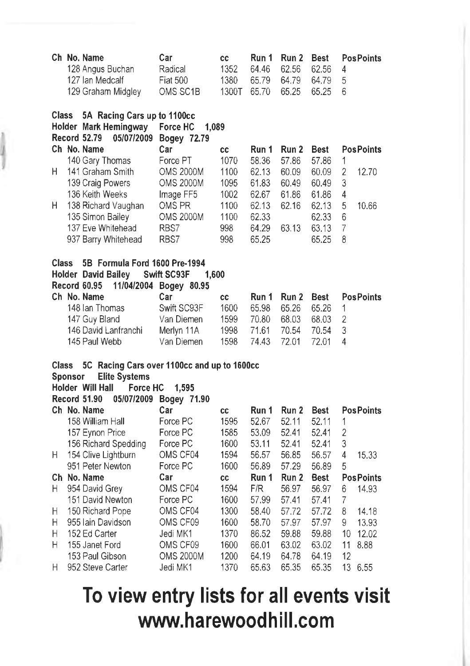|                  | Ch No. Name<br>128 Angus Buchan<br>127 Ian Medcalf<br>129 Graham Midgley                                                              | Car<br>Radical<br><b>Fiat 500</b><br>OMS SC1B                                                                  | cc<br>1352<br>1380<br>1300T        | Run 1<br>64.46<br>65.79<br>65.70          | Run 2<br>62.56<br>64.79<br>65.25          | <b>Best</b><br>62.56<br>64.79<br>65.25          | <b>PosPoints</b><br>4<br>5<br>6                       |
|------------------|---------------------------------------------------------------------------------------------------------------------------------------|----------------------------------------------------------------------------------------------------------------|------------------------------------|-------------------------------------------|-------------------------------------------|-------------------------------------------------|-------------------------------------------------------|
| Class            | 5A Racing Cars up to 1100cc<br>Holder Mark Hemingway<br><b>Record 52.79</b><br>05/07/2009                                             | Force HC<br>1.089<br>Bogey 72.79                                                                               |                                    |                                           |                                           |                                                 |                                                       |
|                  | Ch No. Name                                                                                                                           | Car                                                                                                            | cc                                 | Run 1                                     | Run 2                                     | Best                                            | <b>PosPoints</b>                                      |
| Н                | 140 Gary Thomas<br>141 Graham Smith<br>139 Craig Powers<br>136 Keith Weeks                                                            | Force PT<br><b>OMS 2000M</b><br><b>OMS 2000M</b><br>Image FF5                                                  | 1070<br>1100<br>1095<br>1002       | 58.36<br>62.13<br>61.83<br>62.67          | 57.86<br>60.09<br>60.49<br>61.86          | 57.86<br>60.09<br>60.49<br>61.86                | 1<br>$\overline{2}$<br>12.70<br>3<br>$\overline{4}$   |
| н                | 138 Richard Vaughan<br>135 Simon Bailey<br>137 Eve Whitehead<br>937 Barry Whitehead                                                   | OMS PR<br><b>OMS 2000M</b><br>RBS7<br>RBS7                                                                     | 1100<br>1100<br>998<br>998         | 62.13<br>62.33<br>64.29<br>65.25          | 62.16<br>63.13                            | 62.13<br>62.33<br>63.13<br>65.25                | 5<br>10.66<br>6<br>7<br>8                             |
|                  | Holder David Bailey<br><b>Record 60.95</b><br>Ch No. Name<br>148 Ian Thomas<br>147 Guy Bland<br>146 David Lanfranchi<br>145 Paul Webb | Swift SC93F<br>1,600<br>11/04/2004 Bogey 80.95<br>Car<br>Swift SC93F<br>Van Diemen<br>Merlyn 11A<br>Van Diemen | cc<br>1600<br>1599<br>1998<br>1598 | Run 1<br>65.98<br>70.80<br>71.61<br>74.43 | Run 2<br>65.26<br>68.03<br>70.54<br>72.01 | <b>Best</b><br>65.26<br>68.03<br>70.54<br>72.01 | <b>PosPoints</b><br>1<br>2<br>3<br>4                  |
| Class<br>Sponsor | 5C Racing Cars over 1100cc and up to 1600cc<br><b>Elite Systems</b><br>Holder Will Hall<br><b>Force HC</b><br><b>Record 51.90</b>     | 1.595<br>05/07/2009 Bogey 71.90                                                                                |                                    |                                           |                                           |                                                 |                                                       |
|                  | Ch No. Name<br>158 William Hall<br>157 Eynon Price<br>156 Richard Spedding                                                            | Car<br>Force PC<br>Force PC<br>Force PC                                                                        | cc<br>1595<br>1585<br>1600         | Run 1<br>52.67<br>53.09<br>53.11          | Run 2<br>52.11<br>52.41<br>52.41          | <b>Best</b><br>52.11<br>52.41<br>52.41          | <b>PosPoints</b><br>1<br>$\overline{c}$<br>3          |
| н                | 154 Clive Lightburn<br>951 Peter Newton                                                                                               | OMS CF04<br>Force PC                                                                                           | 1594<br>1600                       | 56.57<br>56.89                            | 56.85<br>57.29                            | 56.57<br>56.89                                  | 4<br>15.33<br>5                                       |
| Η                | Ch No. Name<br>954 David Grey<br>151 David Newton                                                                                     | Car<br>OMS CF04<br>Force PC                                                                                    | cc<br>1594<br>1600                 | Run 1<br>F/R<br>57.99                     | Run 2<br>56.97<br>57.41                   | Best<br>56.97<br>57.41                          | <b>Pos Points</b><br>6<br>14.93<br>7                  |
| Η<br>Н<br>Н<br>Н | 150 Richard Pope<br>955 Iain Davidson<br>152 Ed Carter<br>155 Janet Ford                                                              | OMS CF04<br>OMS CF09<br>Jedi MK1<br>OMS CF09                                                                   | 1300<br>1600<br>1370<br>1600       | 58.40<br>58.70<br>86.52<br>66.01          | 57.72<br>57.97<br>59.88<br>63.02          | 57.72<br>57.97<br>59.88<br>63.02                | 8<br>14.18<br>9<br>13.93<br>10<br>12.02<br>11<br>8.88 |
| Н                | 153 Paul Gibson<br>952 Steve Carter                                                                                                   | <b>OMS 2000M</b><br>Jedi MK1                                                                                   | 1200<br>1370                       | 64.19<br>65.63                            | 64.78<br>65.35                            | 64.19<br>65.35                                  | 12<br>13<br>6.55                                      |

# **To view entry lists for all events visit [www.harewoodhill.com](http://www.harewoodhill.com)**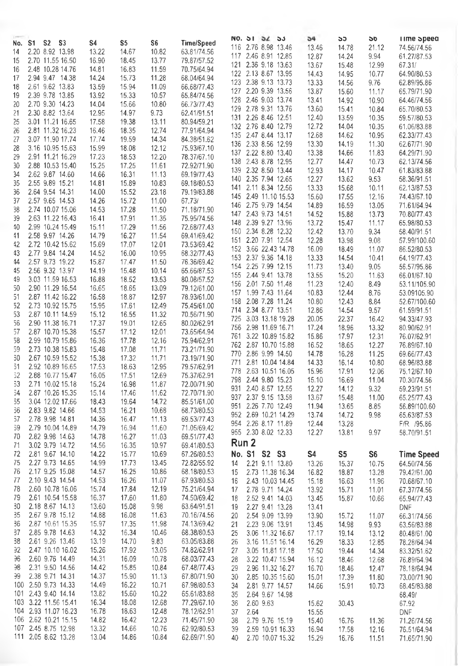|           | S1 S2 S3             | S4    | S5    | S6    | <b>Time/Speed</b> |     |       | NO. 31 54 55         | 54    | აა    | <b>DD</b> | Time opeea        |
|-----------|----------------------|-------|-------|-------|-------------------|-----|-------|----------------------|-------|-------|-----------|-------------------|
| No.<br>14 | 2.20 8.92 13.98      | 13.22 | 14.67 | 10.82 | 63.81/74.56       | 116 |       | 2.76 8.98 13.46      | 13.46 | 14.78 | 21.12     | 74.56/74.56       |
| 15        | 2.70 11.55 16.50     | 16.90 | 18.45 | 13.77 | 79.87/57.52       | 117 |       | 2.46 8.91 12.85      | 12.87 | 14.24 | 9.94      | 61.27/87.53       |
| 16        | 2.48 10.28 14.76     | 14.81 | 16.83 | 11.59 | 70.75/64.94       |     |       | 121 2.36 9.18 13.63  | 13.67 | 15.48 | 12.99     | 67.31/            |
| 17        | 2.94 9.47 14.38      | 14.24 | 15.73 | 11.28 | 68.04/64.94       |     |       | 122 2.13 8.67 13.95  | 14.43 | 14.95 | 10.77     | 64.90/80.53       |
| 18        | 2.61 9.62 13.83      | 13.59 | 15.94 | 11.09 | 66.68/77.43       |     |       | 123 2.38 9.13 13.73  | 13.33 | 14.56 | 9.76      | 62.89/95.86       |
| 19        | 2.39 9.78 13.85      | 13.92 | 15.33 | 10.57 | 65.84/74.56       |     |       | 127 2.20 9.39 13.56  | 13.87 | 15.60 | 11.17     | 65.79/71.90       |
| 20        | 2.70 9.30 14.23      | 14.04 | 15.66 | 10.80 | 66.73/77.43       |     |       | 128 2.46 9.03 13.74  | 13.41 | 14.92 | 10.90     | 64.46/74.56       |
| 21        | 2.30 8.82 13.64      | 12.95 | 14.97 | 9.73  | 62.41/91.51       |     |       | 129 2.78 9.31 13.76  | 13.60 | 15.41 | 10.84     | 65.70/80.53       |
| 25        | 3.01 11.21 16.65     | 17.58 | 19.38 | 13.11 | 80.94/59.21       |     |       | 131 2.26 8.46 12.51  | 12.40 | 13.59 | 10.35     | 59.57/80.53       |
| 26        | 2.81 11.32 16.23     | 16.46 | 18.35 | 12.74 | 77.91/64.94       |     |       | 132 2.76 8.40 12.79  | 12.72 | 14.04 | 10.35     | 61.06/83.88       |
| 27        | 3.07 11.90 17.74     | 17.74 | 19.59 | 14.34 | 84.38/51.62       |     |       | 135 2.47 8.44 13.17  | 12.68 | 14.62 | 10.95     | 62.33/77.43       |
| 28        | 3.16 10.95 15.63     | 15.99 | 18.08 | 12.12 | 75.93/67.10       |     |       | 136 2.33 8.56 12.99  | 13.30 | 14.19 | 11.30     | 62.67/71.90       |
| 29        | 2.91 11.21 16.29     | 17.23 | 18.53 | 12.20 | 78.37/67.10       |     |       | 137 2.22 8.80 13.40  | 13.38 | 14.66 | 11.83     | 64.29/71.90       |
| 30        | 2.88 10.53 15.40     | 15.25 | 17.25 | 11.61 | 72.92/71.90       |     |       | 138 2.43 8.78 12.95  | 12.77 | 14.47 | 10.73     | 62.13/74.56       |
| 34        | 2.62 9.87 14.60      | 14.66 | 16.31 | 11.13 | 69.19/77.43       |     |       | 139 2.32 8.50 13.44  | 12.93 | 14.17 | 10.47     | 61.83/83.88       |
| 35        | 2.55 9.89 15.21      | 14.81 | 15.89 | 10.83 | 69.18/80.53       |     |       | 140 2.35 7.94 12.65  | 12.27 | 13.62 | 9.53      | 58.36/91.51       |
| 36        | 2.64 9.54 14.31      | 14.00 | 15.52 | 23.18 | 79.19/83.88       | 141 |       | 2.11 8.34 12.56      | 13.33 | 15.68 | 10.11     | 62.13/87.53       |
| 37        | 2.57 9.65 14.53      | 14.26 | 15.72 | 11.00 | 67.73/            |     |       | 145 2.49 11.10 15.53 | 15.60 | 17.55 | 12.16     | 74.43/67.10       |
| 38        | 2.74 10.07 15.06     | 14.53 | 17.28 | 11,50 | 71.18/71.90       |     |       | 146 2.75 9.79 14.54  | 14.89 | 16.59 | 13.05     | 71.61/64.94       |
| 39        | 2.63 11.22 16.43     | 16.41 | 17.91 | 11.35 | 75.95/74.56       |     |       | 147 2.43 9.73 14.51  | 14.52 | 15.88 | 13.73     | 70.80/77.43       |
| 40        | 2.99 10.24 15.49     | 15.11 | 17.29 | 11.56 | 72.68/77.43       |     |       | 148 2.39 9.27 13.96  | 13.72 | 15.47 | 11.17     | 65.98/80.53       |
| 41        | 2.58 9.97 14.26      | 14.79 | 16.27 | 11.54 | 69.41/69.42       |     |       | 150 2.34 8.28 12.32  | 12.42 | 13.70 | 9.34      | 58.40/91.51       |
| 42        | 2.72 10.42 15.62     | 15.69 | 17.07 | 12.01 | 73.53/69.42       |     |       | 151 2.20 7.91 12.54  | 12.28 | 13.98 | 9.08      | 57.99/100.60      |
| 43        | 2.77 9.84 14.24      | 14.52 | 16.00 | 10.95 | 68.32/77.43       |     |       | 152 3.66 22.43 14.78 | 16.09 | 18.49 | 11.07     | 86.52/80.53       |
| 44        | 2.57 9.73 19.22      | 15.87 | 17.47 | 11.50 | 76.36/69.42       |     |       | 153 2.37 9.36 14.18  | 13.33 | 14.54 | 10.41     | 64.19/77.43       |
| 45        | 2.56 9.32 13.97      | 14.19 | 15.48 | 10.14 | 65.66/87.53       |     |       | 154 2.25 7.99 12.15  | 11.73 | 13.40 | 9.05      | 56.57/95.86       |
| 49        | 3.03 11.59 16.53     | 16.88 | 18.52 | 13.53 | 80.08/57.52       |     |       | 155 2.44 9.41 13.78  | 13.55 | 15.20 | 11.63     | 66.01/67.10       |
| 50        | 2.90 11.29 16.54     | 16.65 | 18.65 | 13.09 | 79.12/61.00       |     |       | 156 2.01 7.50 11.48  | 11.23 | 12.40 | 8.49      | 53.11/105.90      |
| 51        | 2.87 11.42 16.22     | 16.58 | 18.87 | 12.97 | 78.93/61.00       |     |       | 157 1.99 7.43 11.64  | 10.83 | 12.44 | 8.76      | 53.09105.90       |
| 52        | 2.73 10.92 15.75     | 15.95 | 17.61 | 12.49 | 75.45/61.00       |     |       | 158 2.08 7.28 11.24  | 10.80 | 12.43 | 8.84      | 52.67/100.60      |
| 53        | 2.87 10.11 14.59     | 15.12 | 16.55 | 11.32 | 70.56/71.90       |     |       | 714 2.34 8.77 13.51  | 12.86 | 14.54 | 9.57      | 61.59/91.51       |
| 56        | 2.90 11.38 16.71     | 17.37 | 19.01 | 12.65 | 80.02/62.91       |     |       | 725 3.03 13.18 19.28 | 20.05 | 22.37 | 16.42     | 94.33/47.93       |
| 57        | 2.87 10.70 15.38     | 15.57 | 17.12 | 12.01 | 73.65/64.94       | 756 |       | 2.98 11.69 16.71     | 17.24 | 18.96 | 13.32     | 80.90/62.91       |
| 58        | 2.99 10.79 15.86     | 16.36 | 17.78 | 12.16 | 75.94/62.91       | 761 |       | 3.22 10.89 15.82     | 15.86 | 17.97 | 12.31     | 76.07/62.91       |
| 59        | 2.73 10.38 15.83     | 15.48 | 17.08 | 11.71 | 73.21/71.90       |     |       | 762 2.87 10.70 15.88 | 16.52 | 18.65 | 12.27     | 76.89/67.10       |
| 30        | 2.67 10.59 15.52     | 15.38 | 17.32 | 11.71 | 73.19/71.90       | 770 |       | 2.86 9.99 14.50      | 14.78 | 16.28 | 11.25     | 69.66/77.43       |
| 51        | 2.92 10.89 16.65     | 17.53 | 18.63 | 12.95 | 79.57/62.91       | 771 |       | 2.81 10.04 14.84     | 14.33 | 16.14 | 10.80     | 68.96/83.88       |
| 32        | 2.88 10.77 15.47     | 16.05 | 17.51 | 12.69 | 75.37/62.91       | 778 |       | 2.63 10.51 16.05     | 15.96 | 17.91 | 12.06     | 75.12/67.10       |
| 33        | 2.71 10.02 15.18     | 15.24 | 16.98 | 11.87 | 72.00/71.90       |     |       | 798 2.44 9.80 15.23  | 15.10 | 16.69 | 11.04     | 70.30/74.56       |
| 34        | 2.87 10.26 15.35     | 15.14 | 17.46 | 11.62 | 72.70/71.90       |     |       | 931 2.40 8.57 12.55  | 12.27 | 14.12 | 9.32      | 59.23/91.51       |
| 35        | 3.04 12.02 17.66     | 18.43 | 19.64 | 14.72 | 85.51/61.00       | 937 |       | 2.37 9.15 13.58      | 13.67 | 15.48 | 11.00     | 65.25/77.43       |
| 36        | 2.83 9.82 14.66      | 14.53 | 16.21 | 10.68 | 68.73/80.53       |     |       | 951 2.26 7.70 12.49  | 11.94 | 13.65 | 8.85      | 56.89/100.60      |
| 37        | 2.78 9.98 14.81      | 14.36 | 16.47 | 11.13 | 69.53/77.43       |     |       | 952 2.69 10.21 14.29 | 13.74 | 14.72 | 9.98      | 65.63/87.53       |
| 39        | 2.79 10.04 14.89     | 14.79 | 16.94 | 11.60 | 71.05/69.42       | 954 |       | 2.26 8.17 11.89      | 12.44 | 13.28 |           | F/R /95.86        |
| 70        | 2.82 9.98 14.63      | 14.78 | 16.27 | 11.03 | 69.51/77.43       |     |       | 955 2.30 8.02 12.33  | 12.27 | 13.81 | 9.97      | 58.70/91.51       |
| 71        | 3.02 9.79 14.72      | 14.56 | 16.35 | 10.97 | 69.41/80.53       |     | Run 2 |                      |       |       |           |                   |
| 72        | 2.81 9.67 14.10      | 14.22 | 15,77 | 10.69 | 67.26/80.53       |     |       | No. S1 S2 S3         | S4    | S5    | S6        | <b>Time Speed</b> |
| 75        | 2.27 9.73 14.65      | 14.99 | 17.73 | 13.45 | 72.82/55.92       | 14  |       | 2.21 9.11 13.80      | 13.26 | 15.37 | 10.75     | 64.50/74.56       |
| 76        | 2.17 9.25 15.08      | 14.57 | 16.25 | 10.86 | 68.18/80.53       | 15  |       | 2.73 11.38 16.34     | 16.82 | 18.87 | 13.28     | 79.42/61.00       |
| 77        | 2.10 9.43 14.54      | 14.53 | 16.26 | 11.07 | 67.93/80.53       | 16  |       | 2.43 10.03 14.45     | 15.18 | 16.63 | 11.96     | 70.68/67.10       |
| 78        | 2.60 10.78 16.06     | 15.74 | 17.84 | 12.19 | 75.21/64.94       | 17  |       | 2.78 9.71 14.24      | 13.92 | 15.71 | 11.01     | 67.37/74.56       |
| 79        | 2.61 10.54 15.58     | 16.37 | 17.60 | 11.80 | 74.50/69.42       | 18  |       | 2.52 9.41 14.03      | 13.45 | 15.87 | 10.66     | 65.94/77.43       |
| 30        | 2.18 8.67 14.13      | 13.60 | 15.08 | 9.98  | 63.64/91.51       | 19  |       | 2.27 9.41 13.28      | 13.41 |       |           | DNF               |
| 35        | 2.67 9.78 15.12      | 14.88 | 16.08 | 11.63 | 70.16/74.56       | 20  |       | 2.54 9.09 13.99      | 13.90 | 15.72 | 11.07     | 66.31/74.56       |
| 36        | 2.87 10.61 15.35     | 15.97 | 17.35 | 11.98 | 74.13/69.42       | 21  |       | 2.23 9.06 13.91      | 13.45 | 14.98 | 9.93      | 63.56/83.88       |
| 37        | 2.85 9.78 14.63      | 14.32 | 16.34 | 10.46 | 68.38/80.53       | 25  |       | 3.06 11.32 16.67     | 17.17 | 19.14 | 13.12     | 80.48/61.00       |
| 38        | 2.61 9.26 13.46      | 13.19 | 14.70 | 9.83  | 63.05/83.88       | 26  |       | 3.16 11.51 16.14     | 16.29 | 18.33 | 12.85     | 78.28/64.94       |
| 32        | 2.47 10.10 16.02     | 15.26 | 17.92 | 13.05 | 74.82/62.91       | 27  |       | 3.05 11.81 17.18     | 17.50 | 19.44 | 14.34     | 83.32/51.62       |
| 96        | 2.60 9.76 14.49      | 14.31 | 16.09 | 10.78 | 68.03/77.43       | 28  |       | 3.22 10.47 15.94     | 16.12 | 18.46 | 12.68     | 76.89/64.94       |
| 98        | 2.31 9.50 14.56      | 14.42 | 15.85 | 10.84 | 67.48/77.43       | 29  |       | 2.96 11.32 16.27     | 16.70 | 18.46 | 12.47     | 78.18/64.94       |
| 99        | 2.38 9.71 14.31      | 14.37 | 15.90 | 11.13 | 67.80/71.90       | 30  |       | 2.85 10.35 15.60     | 15.01 | 17.39 | 11.80     | 73,00/71.90       |
|           | 100 2.50 9.73 14.33  | 14.49 | 16.22 | 10.71 | 67.98/80.53       | 34  |       | 2.81 9.77 14.57      | 14.66 | 15.91 | 10.73     | 68.45/83.88       |
| 101       | 2.43 9.40 14.14      | 13.82 | 15.60 | 10.22 | 65.61/83.88       | 35  |       | 2.64 9.67 14.98      |       |       |           | 68.49/            |
|           | 103 3.22 11.56 15.41 | 16.34 | 18.08 | 12.68 | 77.29/67.10       | 36  |       | 2.60 9.63            | 15.62 | 30.43 |           | 67.92             |
|           | 104 2.93 11.07 16.23 | 16.78 | 18.63 | 12.48 | 78.12/62.91       | 37  | 2.64  |                      | 15.55 |       |           | DNF               |
|           | 106 2.62 10.21 15.15 | 14.82 | 16.42 | 12.23 | 71,45/71.90       | 38  |       | 2.79 9.76 15.19      | 15.40 | 16.76 | 11.36     | 71.26/74.56       |
|           | 107 2.45 8.75 12.98  | 13.32 | 14.66 | 10.76 | 62.92/80.53       | 39  |       | 2.59 10.91 16.33     | 16.94 | 17.58 | 12.16     | 76.51/64.94       |
|           | 111 2.05 8.62 13.28  | 13.04 | 14.86 | 10.84 | 62.69/71.90       | 40  |       | 2.70 10.07 15.32     | 15.29 | 16.76 | 11.51     | 71.65/71.90       |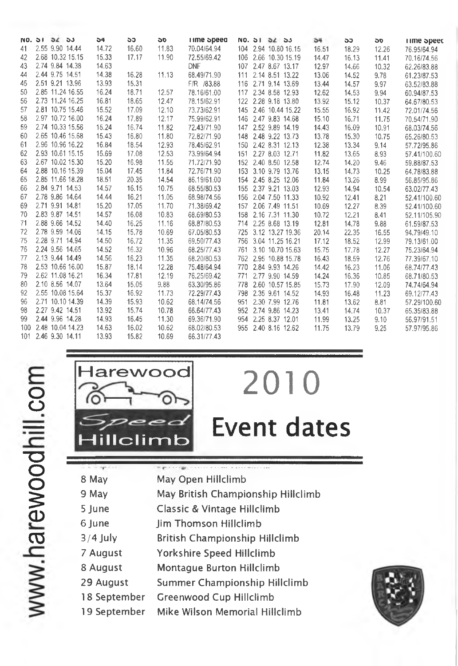|     | NO. 31 32 33 |                     | 54    | ວວ    | <b>DC</b> | <b>ime</b> opeea |     | NO. 51 52 53         | 54    | ວວ    | <b>DD</b> | rime opeed   |
|-----|--------------|---------------------|-------|-------|-----------|------------------|-----|----------------------|-------|-------|-----------|--------------|
| 41  |              | 2.55 9.90 14.44     | 14.72 | 16.60 | 11.83     | 70.04/64.94      |     | 104 2.94 10.80 16.15 | 16.51 | 18.29 | 12.26     | 76.95/64.94  |
| 42  |              | 2.68 10.32 15.15    | 15.33 | 17.17 | 11.90     | 72.55/69.42      |     | 106 2.66 10.30 15.19 | 14.47 | 16.13 | 11.41     | 70.16/74.56  |
| 43  |              | 2.74 9.84 14.38     | 14.63 |       |           | <b>DNF</b>       |     | 107 2.47 8.67 13.17  | 12.97 | 14.66 | 10.32     | 62.26/83.88  |
| 44  |              | 2.44 9.75 14.51     | 14.38 | 16.28 | 11.13     | 68.49/71.90      |     | 111 2.14 8.51 13.22  | 13.06 | 14.52 | 9.78      | 61.23/87.53  |
| 45  |              | 2.51 9.21 13.96     | 13.93 | 15.31 |           | F/R /83.88       |     | 116 2.71 9.14 13.69  | 13.44 | 14.57 | 9.97      | 63.52/83.88  |
| 50  |              | 2.85 11.24 16.55    | 16.24 | 18.71 | 12.57     | 78.16/61.00      |     | 117 2.34 8.58 12.93  | 12.62 | 14.53 | 9.94      | 60.94/87.53  |
| 56  |              | 2.73 11.24 16.25    | 16.81 | 18.65 | 12.47     | 78.15/62.91      |     | 122 2.28 9.18 13.80  | 13.92 | 15.12 | 10.37     | 64.67/80.53  |
| 57  |              | 2.81 10.75 15.46    | 15.52 | 17.09 | 12.10     | 73.73/62.91      |     | 145 2.46 10.44 15.22 | 15.55 | 16.92 | 11.42     | 72.01/74.56  |
| 58  |              | 2.97 10.72 16.00    | 16.24 | 17.89 | 12.17     | 75.99/62.91      |     | 146 2.47 9.83 14.68  | 15.10 | 16.71 | 11.75     | 70,54/71.90  |
| 59  |              | 2.74 10.33 15.56    | 15.24 | 16.74 | 11.82     | 72.43/71.90      |     | 147 2.52 9.89 14.19  | 14.43 | 16.09 | 10.91     | 68.03/74.56  |
| 60  |              | 2.65 10.46 15.68    | 15.43 | 16,80 | 11.80     | 72.82/71.90      |     | 148 2.48 9.22 13.73  | 13.78 | 15.30 | 10.75     | 65.26/80.53  |
| 61  |              | 2.96 10.96 16.22    | 16.84 | 18.54 | 12.93     | 78.45/62.91      |     | 150 2.42 8.31 12.13  | 12.38 | 13.34 | 9.14      | 57.72/95.86  |
| 62  |              | 2.93 10.61 15.15    | 15.69 | 17.08 | 12.53     | 73.99/64.94      |     | 151 2.27 8.03 12.71  | 11.82 | 13.65 | 8.93      | 57.41/100.60 |
| 63  |              | 2.67 10.02 15.30    | 15.20 | 16.98 | 11.55     | 71.72/71.90      |     | 152 2.40 8.50 12.58  | 12.74 | 14.20 | 9.46      | 59.88/87.53  |
| 64  |              | 2.88 10.16 15.39    | 15.04 | 17.45 | 11.84     | 72.76/71.90      |     | 153 3.10 9.79 13.76  | 13.15 | 14.73 | 10.25     | 64.78/83.88  |
| 65  |              | 2.85 11.66 18.28    | 18.51 | 20.35 | 14.54     | 86.19/61.00      |     | 154 2.45 8.25 12.06  | 11.84 | 13.26 | 8.99      | 56.85/95.86  |
| 66  |              | 2.84 9.71 14.53     | 14.57 | 16.15 | 10.75     | 68.55/80.53      |     | 155 2.37 9.21 13.03  | 12.93 | 14.94 | 10.54     | 63.02/77.43  |
| 67  |              | 2.78 9.86 14.64     | 14.44 | 16.21 | 11.05     | 68.98/74.56      |     | 156 2.04 7.50 11.33  | 10.92 | 12.41 | 8.21      | 52.41/100.60 |
| 69  |              | 2.71 9.91 14.81     | 15.20 | 17.05 | 11.70     | 71.38/69.42      |     | 157 2.06 7.49 11.51  | 10.69 | 12.27 | 8.39      | 52.41/100.60 |
| 70  |              | 2.83 9.87 14.51     | 14.57 | 16.08 | 10.83     | 68.69/80.53      |     | 158 2.16 7.31 11.30  | 10.72 | 12.21 | 8.41      | 52.11/105.90 |
| 71  |              | 2.88 9.66 14.52     | 14.40 | 16.25 | 11.16     | 68.87/80.53      |     | 714 2.25 8.68 13.19  | 12.81 | 14.78 | 9.88      | 61.59/87.53  |
| 72  |              | 2.78 9.59 14.06     | 14.15 | 15.78 | 10.69     | 67.05/80.53      |     | 725 3.12 13.27 19.36 | 20.14 | 22.35 | 16.55     | 94.79/49.10  |
| 75  |              | 2.28 9.71 14.94     | 14.50 | 16.72 | 11.35     | 69.50/77.43      |     | 756 3.04 11.25 16.21 | 17.12 | 18.52 | 12.99     | 79.13/61.00  |
| 76  |              | 2.24 9.56 14.65     | 14.52 | 16.32 | 10.96     | 68.25/77.43      |     | 761 3.10 10.70 15.63 | 15.75 | 17.78 | 12.27     | 75.23/64.94  |
| 77  |              | 2.13 9.44 14.49     | 14.56 | 16.23 | 11.35     | 68.20/80.53      |     | 762 2.95 10.88 15.78 | 16.43 | 18.59 | 12.76     | 77.39/67.10  |
| 78  |              | 2.53 10.66 16.00    | 15.87 | 18.14 | 12.28     | 75.48/64.94      |     | 770 2.84 9.93 14.26  | 14.42 | 16.23 | 11.06     | 68.74/77.43  |
| 79  |              | 2.62 11.08 16.21    | 16.34 | 17.81 | 12.19     | 76.25/69.42      | 771 | 2.77 9.90 14.59      | 14.24 | 16.36 | 10.85     | 68.71/80.53  |
| 80  |              | 2.10 8.56 14.07     | 13.64 | 15.05 | 9.88      | 63.30/95.86      |     | 778 2.60 10.57 15.85 | 15.73 | 17.90 | 12.09     | 74.74/64.94  |
| 92  |              | 2.55 10.08 15.64    | 15.37 | 16.92 | 11.73     | 72.29/77.43      |     | 798 2.35 9.61 14.52  | 14.93 | 16.48 | 11.23     | 69.12/77.43  |
| 96  |              | 2.71 10.10 14.39    | 14.39 | 15.93 | 10.62     | 68.14/74.56      |     | 951 2.30 7.99 12.76  | 11.81 | 13.62 | 8.81      | 57.29/100.60 |
| 98  |              | 2.27 9.42 14.51     | 13.92 | 15.74 | 10.78     | 66.64/77.43      |     | 952 2.74 9.86 14.23  | 13.41 | 14.74 | 10.37     | 65.35/83.88  |
| 99  |              | 2.44 9.96 14.28     | 14.93 | 16.45 | 11.30     | 69.36/71.90      |     | 954 2.25 8.37 12.01  | 11.99 | 13.25 | 9.10      | 56,97/91.51  |
| 100 |              | 2.48 10.04 14.23    | 14.63 | 16.02 | 10.62     | 68.02/80.53      |     | 955 2.40 8.16 12.62  | 11.75 | 13.79 | 9.25      | 57.97/95.86  |
|     |              | 101 2.46 9.30 14.11 | 13.93 | 15.82 | 10.69     | 66.31/77.43      |     |                      |       |       |           |              |



| <b>Harewood</b> |
|-----------------|
| Hillclimb       |

# Event dates

2010

 $1.118$ **8 May May Open Hillclimb May British Cham pionship Hillciim b 9 May 5 June Classic & Vintage Hillclimb 6 June Jim Thom son Hiliclim b 3 /4 July British Championship Hillclimb 7 August Yorkshire Speed Hiliclim b 8 August Montague Burton Hillclimb 29 August Summer Championship Hillclimb 18 Septem ber Greenwood Cup Hillclimb 19 Septem ber Mike Wilson Memorial Hillclimb** 

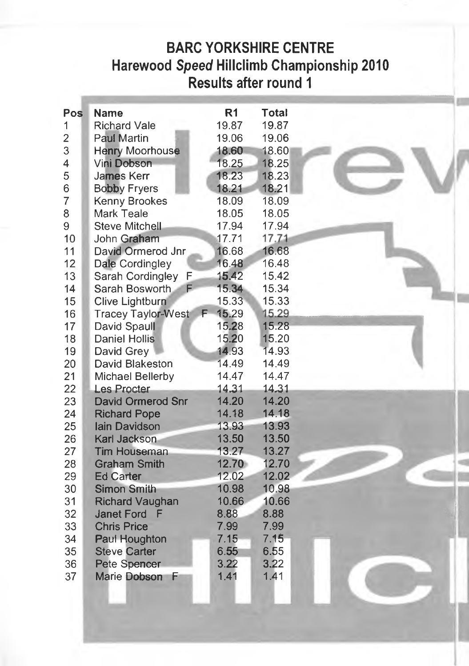## **BARC YORKSHIRE CENTRE Harewood** *Speed* **Hillclimb Championship 2010 Results after round 1**

| Pos            | <b>Name</b>               | R <sub>1</sub> | <b>Total</b> |  |
|----------------|---------------------------|----------------|--------------|--|
| 1              | <b>Richard Vale</b>       | 19.87          | 19.87        |  |
| $\overline{2}$ | <b>Paul Martin</b>        | 19.06          | 19.06        |  |
| 3              | Henry Moorhouse           | 18.60          | 18.60        |  |
| 4              | Vini Dobson               | 18.25          | 18.25        |  |
| 5              | James Kerr                | 18.23          | 18.23        |  |
| 6              | <b>Bobby Fryers</b>       | 18.21          | 18,21        |  |
| $\overline{7}$ | <b>Kenny Brookes</b>      | 18.09          | 18.09        |  |
| 8              | Mark Teale                | 18.05          | 18.05        |  |
| 9              | <b>Steve Mitchell</b>     | 17.94          | 17.94        |  |
| 10             | John Graham               | 17.71          | 17.71        |  |
| 11             | David Ormerod Jnr         | 16.68          | 16.68        |  |
| 12             | Dale Cordingley           | 16.48          | 16.48        |  |
| 13             | Sarah Cordingley<br>F     | 15.42          | 15.42        |  |
| 14             | Sarah Bosworth<br>F       | 15.34          | 15.34        |  |
| 15             | Clive Lightburn           | 15.33          | 15.33        |  |
| 16             | <b>Tracey Taylor-West</b> | 15.29<br>F.    | 15.29        |  |
| 17             | David Spaull              | 15.28          | 15.28        |  |
| 18             | <b>Daniel Hollis</b>      | 15.20          | 15.20        |  |
| 19             | David Grey                | 14.93          | 14.93        |  |
| 20             | David Blakeston           | 14.49          | 14.49        |  |
| 21             | Michael Bellerby          | 14.47          | 14.47        |  |
| 22             | <b>Les Procter</b>        | 14.31          | 14.31        |  |
| 23             | David Ormerod Snr         | 14.20          | 14.20        |  |
| 24             | <b>Richard Pope</b>       | 14.18          | 14.18        |  |
| 25             | <b>lain Davidson</b>      | 13.93          | 13.93        |  |
| 26             | <b>Karl Jackson</b>       | 13.50          | 13.50        |  |
| 27             | <b>Tim Houseman</b>       | 13.27          | 13.27        |  |
| 28             | <b>Graham Smith</b>       | 12.70          | 12.70        |  |
| 29             | <b>Ed Carter</b>          | 12.02          | 12.02        |  |
| 30             | <b>Simon Smith</b>        | 10.98          | 10.98        |  |
| 31             | <b>Richard Vaughan</b>    | 10.66          | 10.66        |  |
| 32             | Janet Ford F              | 8.88           | 8.88         |  |
| 33             | <b>Chris Price</b>        | 7.99           | 7.99         |  |
| 34             | Paul Houghton             | 7.15           | 7.15         |  |
| 35             | <b>Steve Carter</b>       | 6.55           | 6.55         |  |
| 36             | Pete Spencer              | 3.22           | 3.22         |  |
| 37             | Marie Dobson<br>E         | 1.41           | 1.41         |  |
|                |                           |                |              |  |
|                |                           |                |              |  |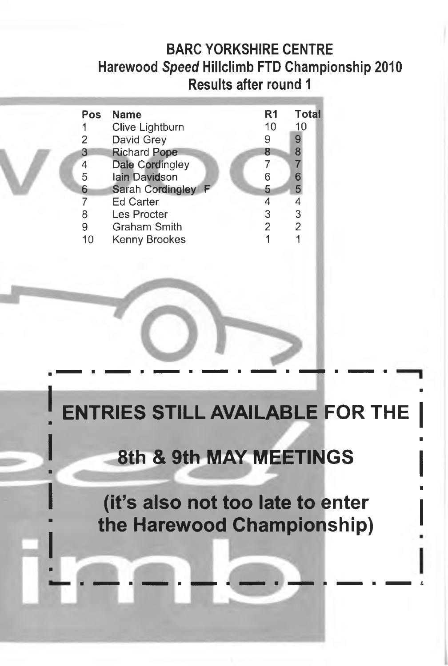### **BARC YORKSHIRE CENTRE Harewood** *Speed* **Hillclimb FTD Championship 2010 Results after round 1**

| Pos | <b>Name</b>         | R <sub>1</sub> | <b>Total</b>   |
|-----|---------------------|----------------|----------------|
| 1   | Clive Lightburn     | 10             | 10             |
| 2   | David Grey          | 9              | 9              |
| 3   | <b>Richard Pope</b> | 8              | 8              |
| 4   | Dale Cordingley     |                | 7              |
| 5   | lain Davidson       | 6              | 6              |
| 6   | Sarah Cordingley F  | 5              | 5              |
| 7   | <b>Ed Carter</b>    |                | 4              |
| 8   | Les Procter         | 3              | 3              |
| 9   | Graham Smith        | 2              | $\overline{2}$ |
| 10  | Kenny Brookes       |                |                |

# **ENTRIES STILL AVAILABLE FOR THE**

## **8th & 9th MAY MEETINGS**

**(it's also not too late to enter the Harewood Championship)**